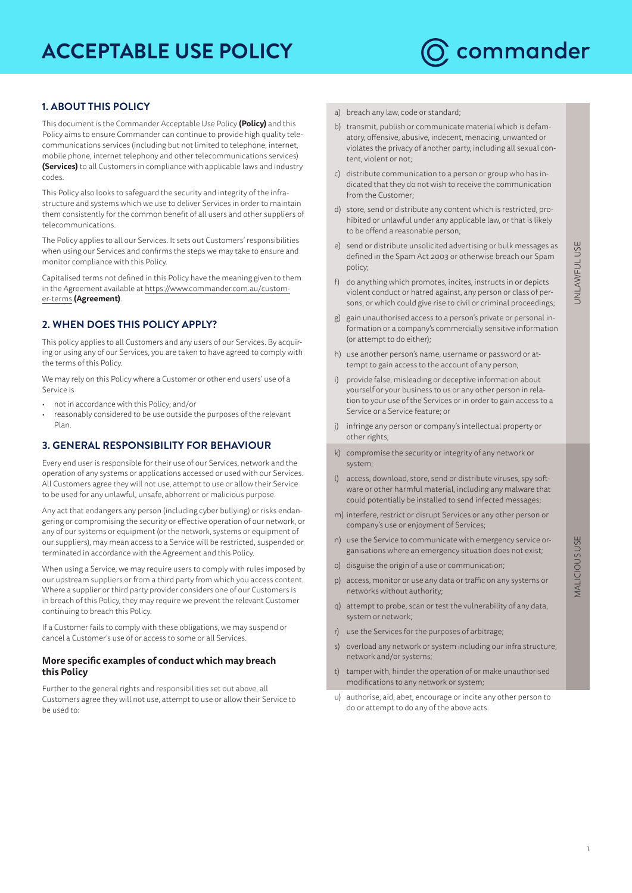# **ACCEPTABLE USE POLICY**



## **1. ABOUT THIS POLICY**

This document is the Commander Acceptable Use Policy **(Policy)** and this Policy aims to ensure Commander can continue to provide high quality telecommunications services (including but not limited to telephone, internet, mobile phone, internet telephony and other telecommunications services) **(Services)** to all Customers in compliance with applicable laws and industry codes.

This Policy also looks to safeguard the security and integrity of the infrastructure and systems which we use to deliver Services in order to maintain them consistently for the common benefit of all users and other suppliers of telecommunications.

The Policy applies to all our Services. It sets out Customers' responsibilities when using our Services and confirms the steps we may take to ensure and monitor compliance with this Policy.

Capitalised terms not defined in this Policy have the meaning given to them in the Agreement available at [https://www.commander.com.au/custom](https://www.commander.com.au/customer-terms)[er-terms](https://www.commander.com.au/customer-terms) **(Agreement)**.

# **2. WHEN DOES THIS POLICY APPLY?**

This policy applies to all Customers and any users of our Services. By acquiring or using any of our Services, you are taken to have agreed to comply with the terms of this Policy.

We may rely on this Policy where a Customer or other end users' use of a Service is

- not in accordance with this Policy; and/or
- reasonably considered to be use outside the purposes of the relevant Plan.

## **3. GENERAL RESPONSIBILITY FOR BEHAVIOUR**

Every end user is responsible for their use of our Services, network and the operation of any systems or applications accessed or used with our Services. All Customers agree they will not use, attempt to use or allow their Service to be used for any unlawful, unsafe, abhorrent or malicious purpose.

Any act that endangers any person (including cyber bullying) or risks endangering or compromising the security or effective operation of our network, or any of our systems or equipment (or the network, systems or equipment of our suppliers), may mean access to a Service will be restricted, suspended or terminated in accordance with the Agreement and this Policy.

When using a Service, we may require users to comply with rules imposed by our upstream suppliers or from a third party from which you access content. Where a supplier or third party provider considers one of our Customers is in breach of this Policy, they may require we prevent the relevant Customer continuing to breach this Policy.

If a Customer fails to comply with these obligations, we may suspend or cancel a Customer's use of or access to some or all Services.

#### **More specific examples of conduct which may breach this Policy**

Further to the general rights and responsibilities set out above, all Customers agree they will not use, attempt to use or allow their Service to be used to:

- a) breach any law, code or standard;
- b) transmit, publish or communicate material which is defamatory, offensive, abusive, indecent, menacing, unwanted or violates the privacy of another party, including all sexual content, violent or not;
- c) distribute communication to a person or group who has indicated that they do not wish to receive the communication from the Customer;
- d) store, send or distribute any content which is restricted, prohibited or unlawful under any applicable law, or that is likely to be offend a reasonable person;
- e) send or distribute unsolicited advertising or bulk messages as defined in the Spam Act 2003 or otherwise breach our Spam policy;
- f) do anything which promotes, incites, instructs in or depicts violent conduct or hatred against, any person or class of persons, or which could give rise to civil or criminal proceedings;
- g) gain unauthorised access to a person's private or personal information or a company's commercially sensitive information (or attempt to do either);
- h) use another person's name, username or password or attempt to gain access to the account of any person;
- i) provide false, misleading or deceptive information about yourself or your business to us or any other person in relation to your use of the Services or in order to gain access to a Service or a Service feature; or
- j) infringe any person or company's intellectual property or other rights;
- k) compromise the security or integrity of any network or system;
- l) access, download, store, send or distribute viruses, spy software or other harmful material, including any malware that could potentially be installed to send infected messages;
- m) interfere, restrict or disrupt Services or any other person or company's use or enjoyment of Services;
- n) use the Service to communicate with emergency service organisations where an emergency situation does not exist;
- o) disguise the origin of a use or communication;
- p) access, monitor or use any data or traffic on any systems or networks without authority;
- q) attempt to probe, scan or test the vulnerability of any data, system or network;
- r) use the Services for the purposes of arbitrage;
- s) overload any network or system including our infra structure, network and/or systems;
- t) tamper with, hinder the operation of or make unauthorised modifications to any network or system;
- u) authorise, aid, abet, encourage or incite any other person to do or attempt to do any of the above acts.